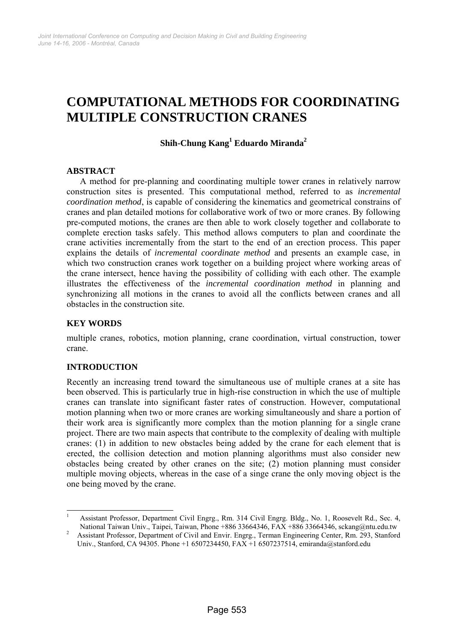# **COMPUTATIONAL METHODS FOR COORDINATING MULTIPLE CONSTRUCTION CRANES**

## **Shih-Chung Kang<sup>1</sup> Eduardo Miranda2**

#### **ABSTRACT**

A method for pre-planning and coordinating multiple tower cranes in relatively narrow construction sites is presented. This computational method, referred to as *incremental coordination method*, is capable of considering the kinematics and geometrical constrains of cranes and plan detailed motions for collaborative work of two or more cranes. By following pre-computed motions, the cranes are then able to work closely together and collaborate to complete erection tasks safely. This method allows computers to plan and coordinate the crane activities incrementally from the start to the end of an erection process. This paper explains the details of *incremental coordinate method* and presents an example case, in which two construction cranes work together on a building project where working areas of the crane intersect, hence having the possibility of colliding with each other. The example illustrates the effectiveness of the *incremental coordination method* in planning and synchronizing all motions in the cranes to avoid all the conflicts between cranes and all obstacles in the construction site.

#### **KEY WORDS**

multiple cranes, robotics, motion planning, crane coordination, virtual construction, tower crane.

## **INTRODUCTION**

1

Recently an increasing trend toward the simultaneous use of multiple cranes at a site has been observed. This is particularly true in high-rise construction in which the use of multiple cranes can translate into significant faster rates of construction. However, computational motion planning when two or more cranes are working simultaneously and share a portion of their work area is significantly more complex than the motion planning for a single crane project. There are two main aspects that contribute to the complexity of dealing with multiple cranes: (1) in addition to new obstacles being added by the crane for each element that is erected, the collision detection and motion planning algorithms must also consider new obstacles being created by other cranes on the site; (2) motion planning must consider multiple moving objects, whereas in the case of a singe crane the only moving object is the one being moved by the crane.

<sup>1</sup> Assistant Professor, Department Civil Engrg., Rm. 314 Civil Engrg. Bldg., No. 1, Roosevelt Rd., Sec. 4, National Taiwan Univ., Taipei, Taiwan, Phone +886 33664346, FAX +886 33664346, sckang@ntu.edu.tw 2

Assistant Professor, Department of Civil and Envir. Engrg., Terman Engineering Center, Rm. 293, Stanford Univ., Stanford, CA 94305. Phone +1 6507234450, FAX +1 6507237514, emiranda@stanford.edu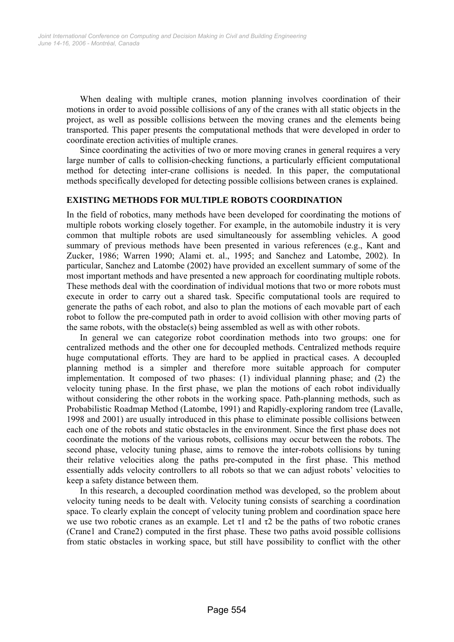When dealing with multiple cranes, motion planning involves coordination of their motions in order to avoid possible collisions of any of the cranes with all static objects in the project, as well as possible collisions between the moving cranes and the elements being transported. This paper presents the computational methods that were developed in order to coordinate erection activities of multiple cranes.

Since coordinating the activities of two or more moving cranes in general requires a very large number of calls to collision-checking functions, a particularly efficient computational method for detecting inter-crane collisions is needed. In this paper, the computational methods specifically developed for detecting possible collisions between cranes is explained.

#### **EXISTING METHODS FOR MULTIPLE ROBOTS COORDINATION**

In the field of robotics, many methods have been developed for coordinating the motions of multiple robots working closely together. For example, in the automobile industry it is very common that multiple robots are used simultaneously for assembling vehicles. A good summary of previous methods have been presented in various references (e.g., Kant and Zucker, 1986; Warren 1990; Alami et. al., 1995; and Sanchez and Latombe, 2002). In particular, Sanchez and Latombe (2002) have provided an excellent summary of some of the most important methods and have presented a new approach for coordinating multiple robots. These methods deal with the coordination of individual motions that two or more robots must execute in order to carry out a shared task. Specific computational tools are required to generate the paths of each robot, and also to plan the motions of each movable part of each robot to follow the pre-computed path in order to avoid collision with other moving parts of the same robots, with the obstacle(s) being assembled as well as with other robots.

In general we can categorize robot coordination methods into two groups: one for centralized methods and the other one for decoupled methods. Centralized methods require huge computational efforts. They are hard to be applied in practical cases. A decoupled planning method is a simpler and therefore more suitable approach for computer implementation. It composed of two phases: (1) individual planning phase; and (2) the velocity tuning phase. In the first phase, we plan the motions of each robot individually without considering the other robots in the working space. Path-planning methods, such as Probabilistic Roadmap Method (Latombe, 1991) and Rapidly-exploring random tree (Lavalle, 1998 and 2001) are usually introduced in this phase to eliminate possible collisions between each one of the robots and static obstacles in the environment. Since the first phase does not coordinate the motions of the various robots, collisions may occur between the robots. The second phase, velocity tuning phase, aims to remove the inter-robots collisions by tuning their relative velocities along the paths pre-computed in the first phase. This method essentially adds velocity controllers to all robots so that we can adjust robots' velocities to keep a safety distance between them.

In this research, a decoupled coordination method was developed, so the problem about velocity tuning needs to be dealt with. Velocity tuning consists of searching a coordination space. To clearly explain the concept of velocity tuning problem and coordination space here we use two robotic cranes as an example. Let  $\tau$ 1 and  $\tau$ 2 be the paths of two robotic cranes (Crane1 and Crane2) computed in the first phase. These two paths avoid possible collisions from static obstacles in working space, but still have possibility to conflict with the other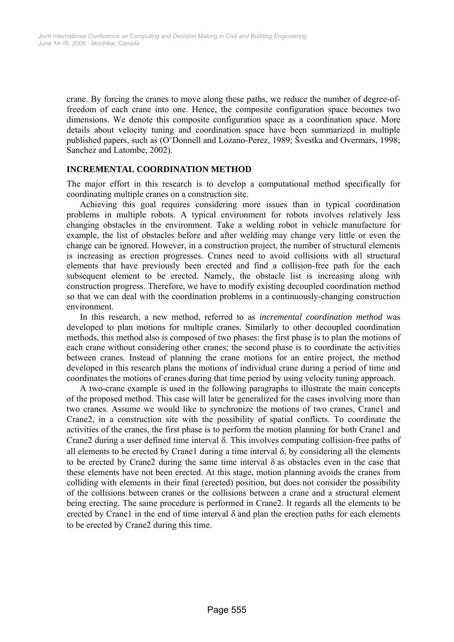crane. By forcing the cranes to move along these paths, we reduce the number of degree-offreedom of each crane into one. Hence, the composite configuration space becomes two dimensions. We denote this composite configuration space as a coordination space. More details about velocity tuning and coordination space have been summarized in multiple published papers, such as (O'Donnell and Lozano-Perez, 1989; Švestka and Overmars, 1998; Sanchez and Latombe, 2002).

## **INCREMENTAL COORDINATION METHOD**

The major effort in this research is to develop a computational method specifically for coordinating multiple cranes on a construction site.

Achieving this goal requires considering more issues than in typical coordination problems in multiple robots. A typical environment for robots involves relatively less changing obstacles in the environment. Take a welding robot in vehicle manufacture for example, the list of obstacles before and after welding may change very little or even the change can be ignored. However, in a construction project, the number of structural elements is increasing as erection progresses. Cranes need to avoid collisions with all structural elements that have previously been erected and find a collision-free path for the each subsequent element to be erected. Namely, the obstacle list is increasing along with construction progress. Therefore, we have to modify existing decoupled coordination method so that we can deal with the coordination problems in a continuously-changing construction environment.

In this research, a new method, referred to as *incremental coordination method* was developed to plan motions for multiple cranes. Similarly to other decoupled coordination methods, this method also is composed of two phases: the first phase is to plan the motions of each crane without considering other cranes; the second phase is to coordinate the activities between cranes. Instead of planning the crane motions for an entire project, the method developed in this research plans the motions of individual crane during a period of time and coordinates the motions of cranes during that time period by using velocity tuning approach.

A two-crane example is used in the following paragraphs to illustrate the main concepts of the proposed method. This case will later be generalized for the cases involving more than two cranes. Assume we would like to synchronize the motions of two cranes, Crane1 and Crane2, in a construction site with the possibility of spatial conflicts. To coordinate the activities of the cranes, the first phase is to perform the motion planning for both Crane1 and Crane2 during a user defined time interval δ. This involves computing collision-free paths of all elements to be erected by Crane1 during a time interval  $\delta$ , by considering all the elements to be erected by Crane2 during the same time interval δ as obstacles even in the case that these elements have not been erected. At this stage, motion planning avoids the cranes from colliding with elements in their final (erected) position, but does not consider the possibility of the collisions between cranes or the collisions between a crane and a structural element being erecting. The same procedure is performed in Crane2. It regards all the elements to be erected by Crane1 in the end of time interval  $\delta$  and plan the erection paths for each elements to be erected by Crane2 during this time.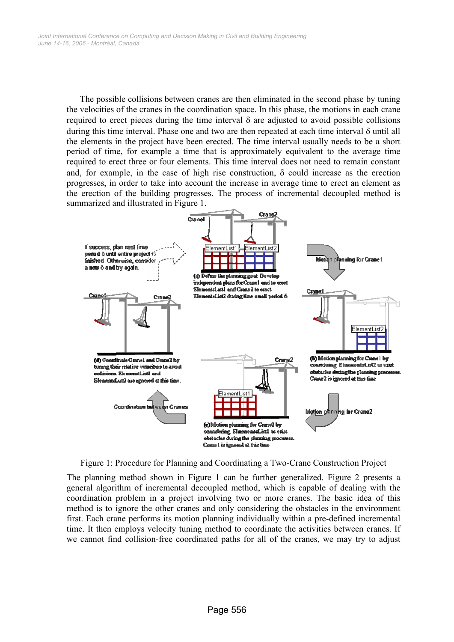The possible collisions between cranes are then eliminated in the second phase by tuning the velocities of the cranes in the coordination space. In this phase, the motions in each crane required to erect pieces during the time interval δ are adjusted to avoid possible collisions during this time interval. Phase one and two are then repeated at each time interval δ until all the elements in the project have been erected. The time interval usually needs to be a short period of time, for example a time that is approximately equivalent to the average time required to erect three or four elements. This time interval does not need to remain constant and, for example, in the case of high rise construction,  $\delta$  could increase as the erection progresses, in order to take into account the increase in average time to erect an element as the erection of the building progresses. The process of incremental decoupled method is summarized and illustrated in Figure 1.



Figure 1: Procedure for Planning and Coordinating a Two-Crane Construction Project

The planning method shown in Figure 1 can be further generalized. Figure 2 presents a general algorithm of incremental decoupled method, which is capable of dealing with the coordination problem in a project involving two or more cranes. The basic idea of this method is to ignore the other cranes and only considering the obstacles in the environment first. Each crane performs its motion planning individually within a pre-defined incremental time. It then employs velocity tuning method to coordinate the activities between cranes. If we cannot find collision-free coordinated paths for all of the cranes, we may try to adjust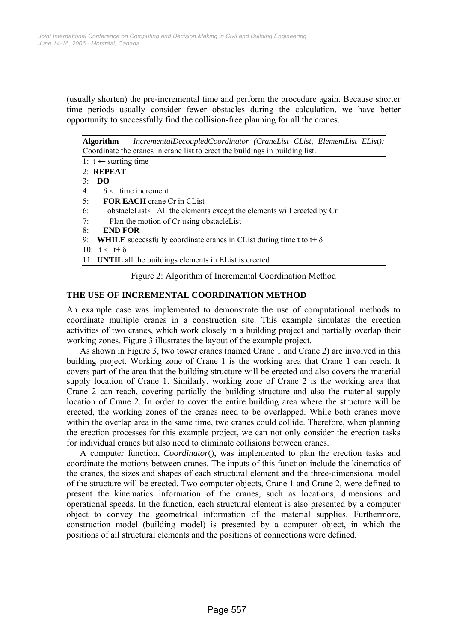(usually shorten) the pre-incremental time and perform the procedure again. Because shorter time periods usually consider fewer obstacles during the calculation, we have better opportunity to successfully find the collision-free planning for all the cranes.

**Algorithm** *IncrementalDecoupledCoordinator (CraneList CList, ElementList EList):*  Coordinate the cranes in crane list to erect the buildings in building list.

- 1:  $t$  ← starting time
- 2: **REPEAT**
- 3: **DO**
- 4:  $\delta \leftarrow$  time increment
- 5: **FOR EACH** crane Cr in CList
- 6: obstacleList← All the elements except the elements will erected by Cr
- 7: Plan the motion of Cr using obstacleList
- 8: **END FOR**
- 9: **WHILE** successfully coordinate cranes in CList during time t to t+  $\delta$
- $10^{\circ}$  t ← t+  $\delta$
- 11: **UNTIL** all the buildings elements in EList is erected

Figure 2: Algorithm of Incremental Coordination Method

## **THE USE OF INCREMENTAL COORDINATION METHOD**

An example case was implemented to demonstrate the use of computational methods to coordinate multiple cranes in a construction site. This example simulates the erection activities of two cranes, which work closely in a building project and partially overlap their working zones. Figure 3 illustrates the layout of the example project.

As shown in Figure 3, two tower cranes (named Crane 1 and Crane 2) are involved in this building project. Working zone of Crane 1 is the working area that Crane 1 can reach. It covers part of the area that the building structure will be erected and also covers the material supply location of Crane 1. Similarly, working zone of Crane 2 is the working area that Crane 2 can reach, covering partially the building structure and also the material supply location of Crane 2. In order to cover the entire building area where the structure will be erected, the working zones of the cranes need to be overlapped. While both cranes move within the overlap area in the same time, two cranes could collide. Therefore, when planning the erection processes for this example project, we can not only consider the erection tasks for individual cranes but also need to eliminate collisions between cranes.

A computer function, *Coordinator*(), was implemented to plan the erection tasks and coordinate the motions between cranes. The inputs of this function include the kinematics of the cranes, the sizes and shapes of each structural element and the three-dimensional model of the structure will be erected. Two computer objects, Crane 1 and Crane 2, were defined to present the kinematics information of the cranes, such as locations, dimensions and operational speeds. In the function, each structural element is also presented by a computer object to convey the geometrical information of the material supplies. Furthermore, construction model (building model) is presented by a computer object, in which the positions of all structural elements and the positions of connections were defined.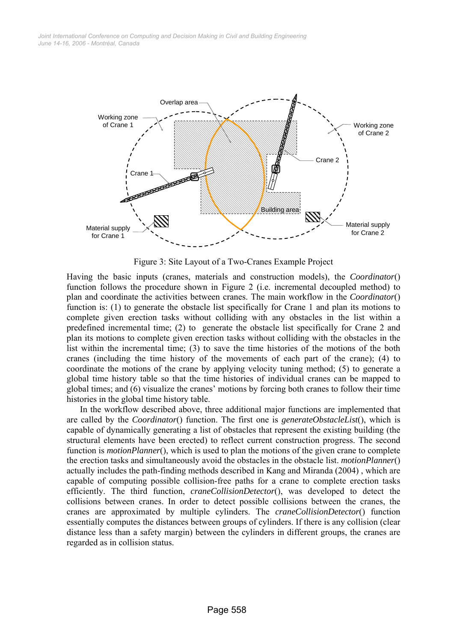

Figure 3: Site Layout of a Two-Cranes Example Project

Having the basic inputs (cranes, materials and construction models), the *Coordinator*() function follows the procedure shown in Figure 2 (i.e. incremental decoupled method) to plan and coordinate the activities between cranes. The main workflow in the *Coordinator*() function is: (1) to generate the obstacle list specifically for Crane 1 and plan its motions to complete given erection tasks without colliding with any obstacles in the list within a predefined incremental time; (2) to generate the obstacle list specifically for Crane 2 and plan its motions to complete given erection tasks without colliding with the obstacles in the list within the incremental time; (3) to save the time histories of the motions of the both cranes (including the time history of the movements of each part of the crane); (4) to coordinate the motions of the crane by applying velocity tuning method; (5) to generate a global time history table so that the time histories of individual cranes can be mapped to global times; and (6) visualize the cranes' motions by forcing both cranes to follow their time histories in the global time history table.

In the workflow described above, three additional major functions are implemented that are called by the *Coordinator*() function. The first one is *generateObstacleList*(), which is capable of dynamically generating a list of obstacles that represent the existing building (the structural elements have been erected) to reflect current construction progress. The second function is *motionPlanner*(), which is used to plan the motions of the given crane to complete the erection tasks and simultaneously avoid the obstacles in the obstacle list. *motionPlanner*() actually includes the path-finding methods described in Kang and Miranda (2004) , which are capable of computing possible collision-free paths for a crane to complete erection tasks efficiently. The third function, *craneCollisionDetector*(), was developed to detect the collisions between cranes. In order to detect possible collisions between the cranes, the cranes are approximated by multiple cylinders. The *craneCollisionDetector*() function essentially computes the distances between groups of cylinders. If there is any collision (clear distance less than a safety margin) between the cylinders in different groups, the cranes are regarded as in collision status.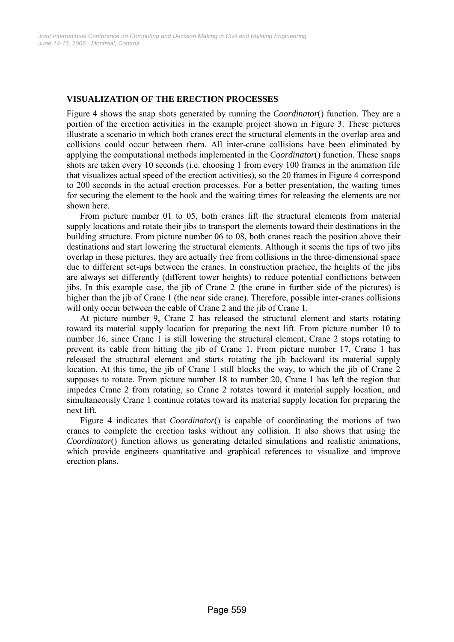## **VISUALIZATION OF THE ERECTION PROCESSES**

Figure 4 shows the snap shots generated by running the *Coordinator*() function. They are a portion of the erection activities in the example project shown in Figure 3. These pictures illustrate a scenario in which both cranes erect the structural elements in the overlap area and collisions could occur between them. All inter-crane collisions have been eliminated by applying the computational methods implemented in the *Coordinator*() function. These snaps shots are taken every 10 seconds (i.e. choosing 1 from every 100 frames in the animation file that visualizes actual speed of the erection activities), so the 20 frames in Figure 4 correspond to 200 seconds in the actual erection processes. For a better presentation, the waiting times for securing the element to the hook and the waiting times for releasing the elements are not shown here.

From picture number 01 to 05, both cranes lift the structural elements from material supply locations and rotate their jibs to transport the elements toward their destinations in the building structure. From picture number 06 to 08, both cranes reach the position above their destinations and start lowering the structural elements. Although it seems the tips of two jibs overlap in these pictures, they are actually free from collisions in the three-dimensional space due to different set-ups between the cranes. In construction practice, the heights of the jibs are always set differently (different tower heights) to reduce potential conflictions between jibs. In this example case, the jib of Crane 2 (the crane in further side of the pictures) is higher than the jib of Crane 1 (the near side crane). Therefore, possible inter-cranes collisions will only occur between the cable of Crane 2 and the jib of Crane 1.

At picture number 9, Crane 2 has released the structural element and starts rotating toward its material supply location for preparing the next lift. From picture number 10 to number 16, since Crane 1 is still lowering the structural element, Crane 2 stops rotating to prevent its cable from hitting the jib of Crane 1. From picture number 17, Crane 1 has released the structural element and starts rotating the jib backward its material supply location. At this time, the jib of Crane 1 still blocks the way, to which the jib of Crane 2 supposes to rotate. From picture number 18 to number 20, Crane 1 has left the region that impedes Crane 2 from rotating, so Crane 2 rotates toward it material supply location, and simultaneously Crane 1 continue rotates toward its material supply location for preparing the next lift.

Figure 4 indicates that *Coordinator*() is capable of coordinating the motions of two cranes to complete the erection tasks without any collision. It also shows that using the *Coordinator*() function allows us generating detailed simulations and realistic animations, which provide engineers quantitative and graphical references to visualize and improve erection plans.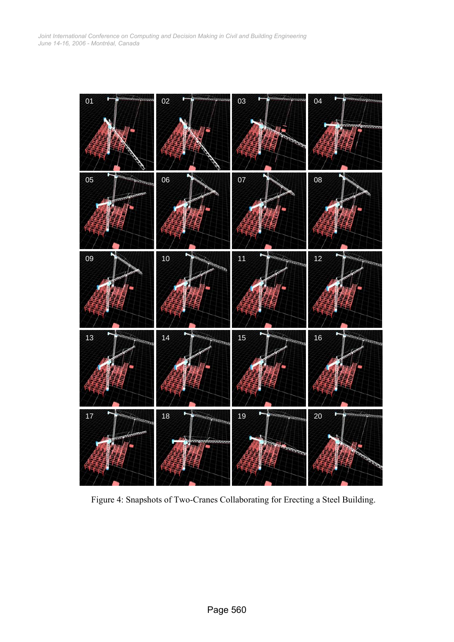

Figure 4: Snapshots of Two-Cranes Collaborating for Erecting a Steel Building.